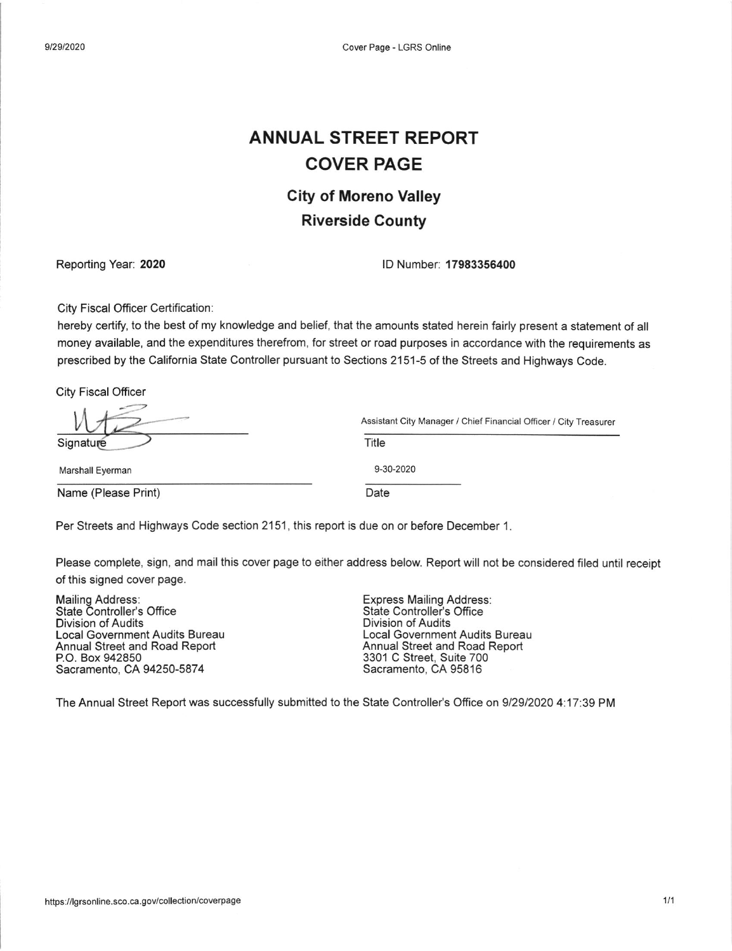### ANNUAL STREET REPORT COVER PAGE

### City of Moreno Valley Riverside County

Reporting Year: 2020 **ID Number 17983356400** 

Assistant City Manager / Chief Financial Officer / City Treasurer

City Fiscal Officer Certification:

hereby certify, to the best of my knowledge and belief, that the amounts stated herein fairly present a statement of all money available, and the expenditures therefrom, for street or road purposes in accordance with the requirements as prescribed by the California State Controller pursuant to Sections 2151-5 of the Streets and Highways Code.

City Fiscal Officer

| Signature |  |
|-----------|--|

Marshall Eyerman

Name (Please Print)

Date

9‐30‐2020

Title

Per Streets and Highways Code section 2151, this report is due on or before December <sup>1</sup>.

Please complete, sign, and mail this cover page to either address below. Report will not be considered filed until receipt of this signed cover page.

Division of Audits Local Government Audits Bureau Annual Street and Road Report P.O. Box 942850 Sacramento, CA 94250-5874 Mailing Address: Express Mailing Address: State Controller's Office

Division of Audits Local Government Audits Bureau Annual Street and Road Report 3301 C Street, Suite 700 Sacramento, CA 95816

The Annual Street Report was successfully submitted to the State Controller's Ofice on 912912020 4:17:39 PM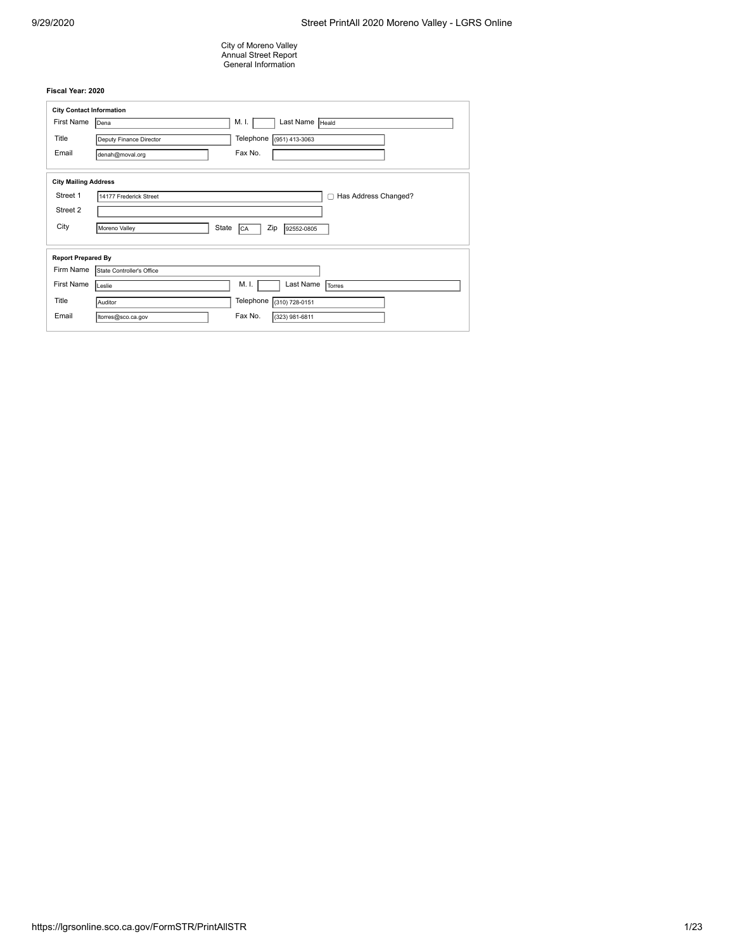City of Moreno Valley Annual Street Report General Information

| <b>City Contact Information</b> |                                                          |
|---------------------------------|----------------------------------------------------------|
| First Name                      | Last Name FHeald<br>M. I.<br><b>Dena</b>                 |
| Title                           | Telephone<br>$(951)$ 413-3063<br>Deputy Finance Director |
| Email                           | Fax No.<br>denah@moval.org                               |
| <b>City Mailing Address</b>     |                                                          |
| Street 1                        | Has Address Changed?<br>14177 Frederick Street           |
| Street 2                        |                                                          |
| City                            | Zip<br>State<br>Moreno Valley<br>92552-0805<br>CA        |
| <b>Report Prepared By</b>       |                                                          |
| Firm Name                       | State Controller's Office                                |
| <b>First Name</b>               | M. I.<br>Last Name<br>Torres<br>Leslie                   |
| Title                           | Telephone<br>$(310) 728 - 0151$<br>Auditor               |
| Email                           | Fax No.<br>(323) 981-6811<br>Itorres@sco.ca.gov          |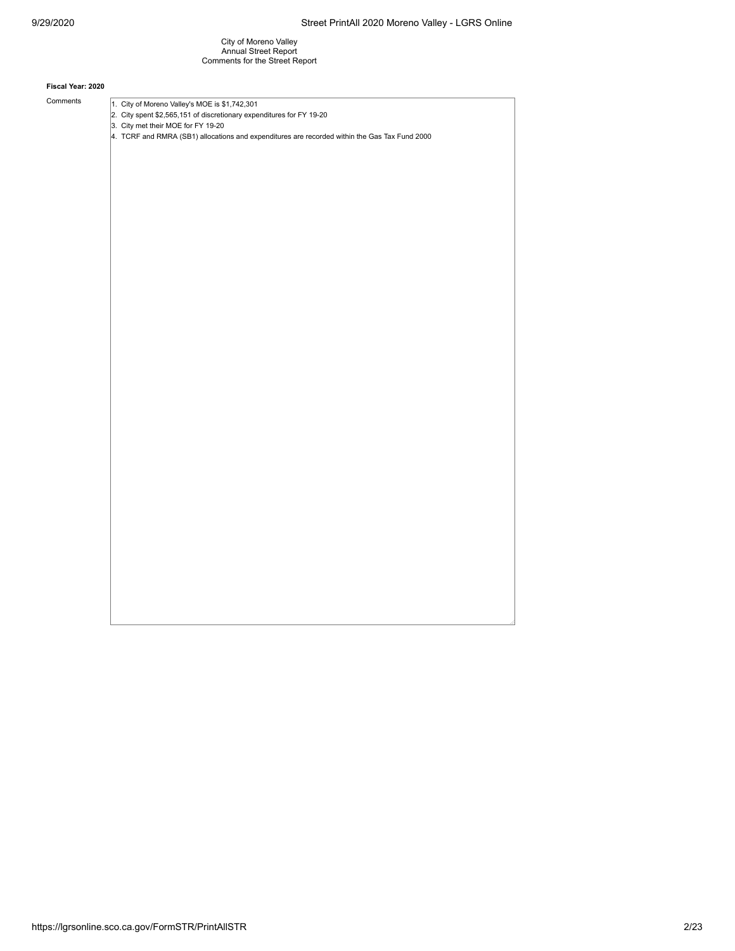City of Moreno Valley Annual Street Report Comments for the Street Report

#### **Fiscal Year: 2020**

Comments  $\sqrt{1. \text{ City of Moreno Valley's MOE} \text{ is } $1,742,301}$ 2. City spent \$2,565,151 of discretionary expenditures for FY 19-20 3. City met their MOE for FY 19-20 4. TCRF and RMRA (SB1) allocations and expenditures are recorded within the Gas Tax Fund 2000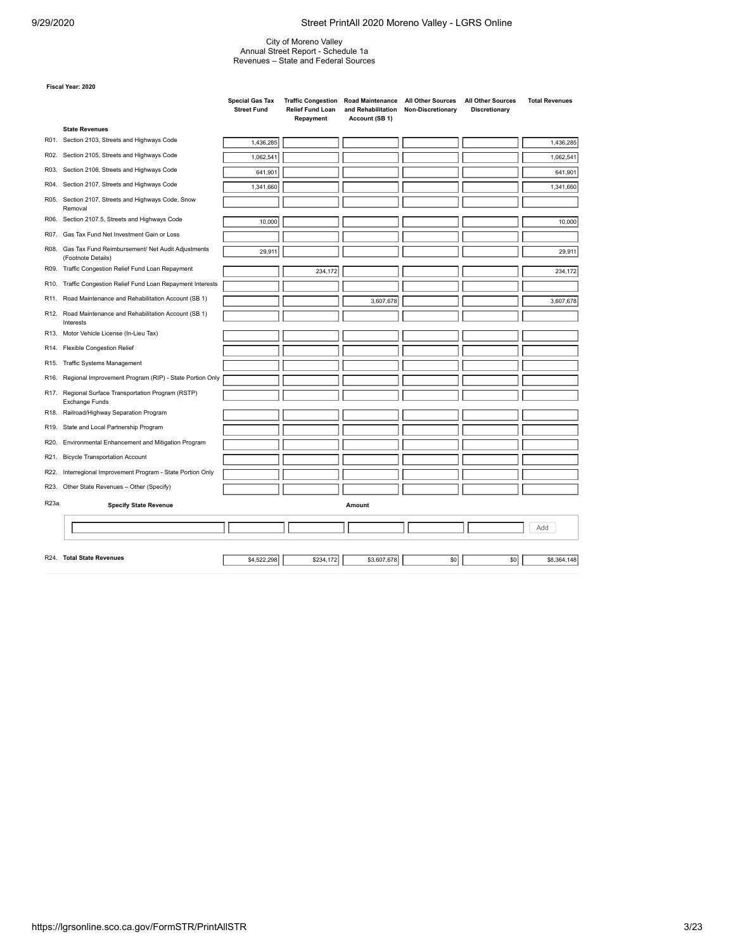City of Moreno Valley Annual Street Report - Schedule 1a Revenues – State and Federal Sources

|                   |                                                                              | <b>Special Gas Tax</b><br><b>Street Fund</b> | <b>Traffic Congestion</b><br><b>Relief Fund Loan</b><br>Repayment | <b>Road Maintenance</b><br>and Rehabilitation<br>Account (SB 1) | <b>All Other Sources</b><br>Non-Discretionary | <b>All Other Sources</b><br><b>Discretionary</b> | <b>Total Revenues</b> |
|-------------------|------------------------------------------------------------------------------|----------------------------------------------|-------------------------------------------------------------------|-----------------------------------------------------------------|-----------------------------------------------|--------------------------------------------------|-----------------------|
|                   | <b>State Revenues</b>                                                        |                                              |                                                                   |                                                                 |                                               |                                                  |                       |
|                   | R01. Section 2103, Streets and Highways Code                                 | 1,436,285                                    |                                                                   |                                                                 |                                               |                                                  | 1,436,285             |
|                   | R02. Section 2105, Streets and Highways Code                                 | 1,062,541                                    |                                                                   |                                                                 |                                               |                                                  | 1,062,541             |
| R03.              | Section 2106, Streets and Highways Code                                      | 641,901                                      |                                                                   |                                                                 |                                               |                                                  | 641,901               |
| R04.              | Section 2107, Streets and Highways Code                                      | 1,341,660                                    |                                                                   |                                                                 |                                               |                                                  | 1,341,660             |
|                   | R05. Section 2107, Streets and Highways Code, Snow<br>Removal                |                                              |                                                                   |                                                                 |                                               |                                                  |                       |
|                   | R06. Section 2107.5, Streets and Highways Code                               | 10,000                                       |                                                                   |                                                                 |                                               |                                                  | 10,000                |
| R07.              | Gas Tax Fund Net Investment Gain or Loss                                     |                                              |                                                                   |                                                                 |                                               |                                                  |                       |
|                   | R08. Gas Tax Fund Reimbursement/ Net Audit Adjustments<br>(Footnote Details) | 29,911                                       |                                                                   |                                                                 |                                               |                                                  | 29,911                |
|                   | R09. Traffic Congestion Relief Fund Loan Repayment                           |                                              | 234,172                                                           |                                                                 |                                               |                                                  | 234,172               |
|                   | R10. Traffic Congestion Relief Fund Loan Repayment Interests                 |                                              |                                                                   |                                                                 |                                               |                                                  |                       |
| R11.              | Road Maintenance and Rehabilitation Account (SB 1)                           |                                              |                                                                   | 3,607,678                                                       |                                               |                                                  | 3,607,678             |
|                   | R12. Road Maintenance and Rehabilitation Account (SB 1)<br>Interests         |                                              |                                                                   |                                                                 |                                               |                                                  |                       |
|                   | R13. Motor Vehicle License (In-Lieu Tax)                                     |                                              |                                                                   |                                                                 |                                               |                                                  |                       |
| R14.              | <b>Flexible Congestion Relief</b>                                            |                                              |                                                                   |                                                                 |                                               |                                                  |                       |
| R <sub>15</sub> . | <b>Traffic Systems Management</b>                                            |                                              |                                                                   |                                                                 |                                               |                                                  |                       |
| R <sub>16</sub> . | Regional Improvement Program (RIP) - State Portion Only                      |                                              |                                                                   |                                                                 |                                               |                                                  |                       |
| R17.              | Regional Surface Transportation Program (RSTP)<br><b>Exchange Funds</b>      |                                              |                                                                   |                                                                 |                                               |                                                  |                       |
| R18.              | Railroad/Highway Separation Program                                          |                                              |                                                                   |                                                                 |                                               |                                                  |                       |
| R19.              | State and Local Partnership Program                                          |                                              |                                                                   |                                                                 |                                               |                                                  |                       |
| R20.              | Environmental Enhancement and Mitigation Program                             |                                              |                                                                   |                                                                 |                                               |                                                  |                       |
| R21.              | <b>Bicycle Transportation Account</b>                                        |                                              |                                                                   |                                                                 |                                               |                                                  |                       |
| R22.              | Interregional Improvement Program - State Portion Only                       |                                              |                                                                   |                                                                 |                                               |                                                  |                       |
| R23.              | Other State Revenues - Other (Specify)                                       |                                              |                                                                   |                                                                 |                                               |                                                  |                       |
| R23a.             | <b>Specify State Revenue</b>                                                 |                                              |                                                                   | Amount                                                          |                                               |                                                  |                       |
|                   |                                                                              |                                              |                                                                   |                                                                 |                                               |                                                  | Add                   |
|                   |                                                                              |                                              |                                                                   |                                                                 |                                               |                                                  |                       |
|                   | R24. Total State Revenues                                                    | \$4,522,298                                  | \$234,172                                                         | \$3,607,678                                                     | \$0                                           | \$0                                              | \$8,364,148           |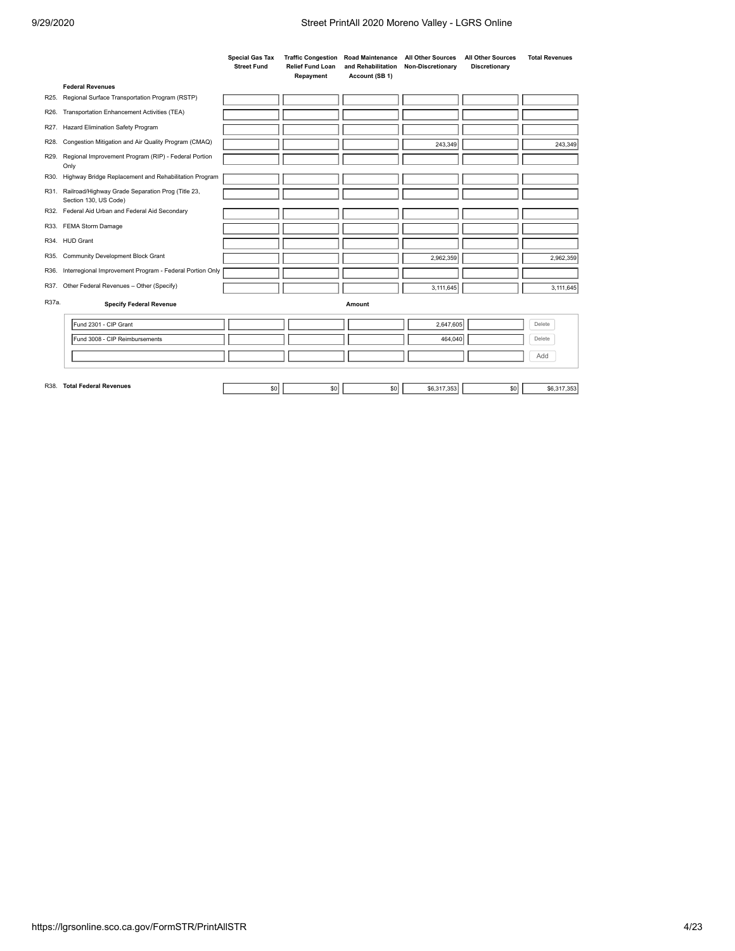|       |                                                                            | <b>Special Gas Tax</b><br><b>Street Fund</b> | <b>Traffic Congestion</b><br><b>Relief Fund Loan</b><br>Repayment | <b>Road Maintenance</b><br>and Rehabilitation<br>Account (SB 1) | <b>All Other Sources</b><br>Non-Discretionary | <b>All Other Sources</b><br>Discretionary | <b>Total Revenues</b> |
|-------|----------------------------------------------------------------------------|----------------------------------------------|-------------------------------------------------------------------|-----------------------------------------------------------------|-----------------------------------------------|-------------------------------------------|-----------------------|
|       | <b>Federal Revenues</b>                                                    |                                              |                                                                   |                                                                 |                                               |                                           |                       |
| R25.  | Regional Surface Transportation Program (RSTP)                             |                                              |                                                                   |                                                                 |                                               |                                           |                       |
| R26.  | Transportation Enhancement Activities (TEA)                                |                                              |                                                                   |                                                                 |                                               |                                           |                       |
| R27.  | Hazard Elimination Safety Program                                          |                                              |                                                                   |                                                                 |                                               |                                           |                       |
| R28.  | Congestion Mitigation and Air Quality Program (CMAQ)                       |                                              |                                                                   |                                                                 | 243,349                                       |                                           | 243,349               |
| R29.  | Regional Improvement Program (RIP) - Federal Portion<br>Only               |                                              |                                                                   |                                                                 |                                               |                                           |                       |
| R30.  | Highway Bridge Replacement and Rehabilitation Program                      |                                              |                                                                   |                                                                 |                                               |                                           |                       |
| R31.  | Railroad/Highway Grade Separation Prog (Title 23,<br>Section 130, US Code) |                                              |                                                                   |                                                                 |                                               |                                           |                       |
|       | R32. Federal Aid Urban and Federal Aid Secondary                           |                                              |                                                                   |                                                                 |                                               |                                           |                       |
| R33.  | FEMA Storm Damage                                                          |                                              |                                                                   |                                                                 |                                               |                                           |                       |
|       | R34. HUD Grant                                                             |                                              |                                                                   |                                                                 |                                               |                                           |                       |
| R35.  | Community Development Block Grant                                          |                                              |                                                                   |                                                                 | 2,962,359                                     |                                           | 2,962,359             |
| R36.  | Interregional Improvement Program - Federal Portion Only                   |                                              |                                                                   |                                                                 |                                               |                                           |                       |
| R37.  | Other Federal Revenues - Other (Specify)                                   |                                              |                                                                   |                                                                 | 3,111,645                                     |                                           | 3,111,645             |
| R37a. | <b>Specify Federal Revenue</b>                                             |                                              |                                                                   | Amount                                                          |                                               |                                           |                       |
|       | Fund 2301 - CIP Grant                                                      |                                              |                                                                   |                                                                 | 2.647.605                                     |                                           | Delete                |
|       | Fund 3008 - CIP Reimbursements                                             |                                              |                                                                   |                                                                 | 464.040                                       |                                           | Delete                |
|       |                                                                            |                                              |                                                                   |                                                                 |                                               |                                           | Add                   |
|       |                                                                            |                                              |                                                                   |                                                                 |                                               |                                           |                       |
|       | R38. Total Federal Revenues                                                | \$0                                          | \$0                                                               | \$0                                                             | \$6,317,353                                   | \$0                                       | \$6,317,353           |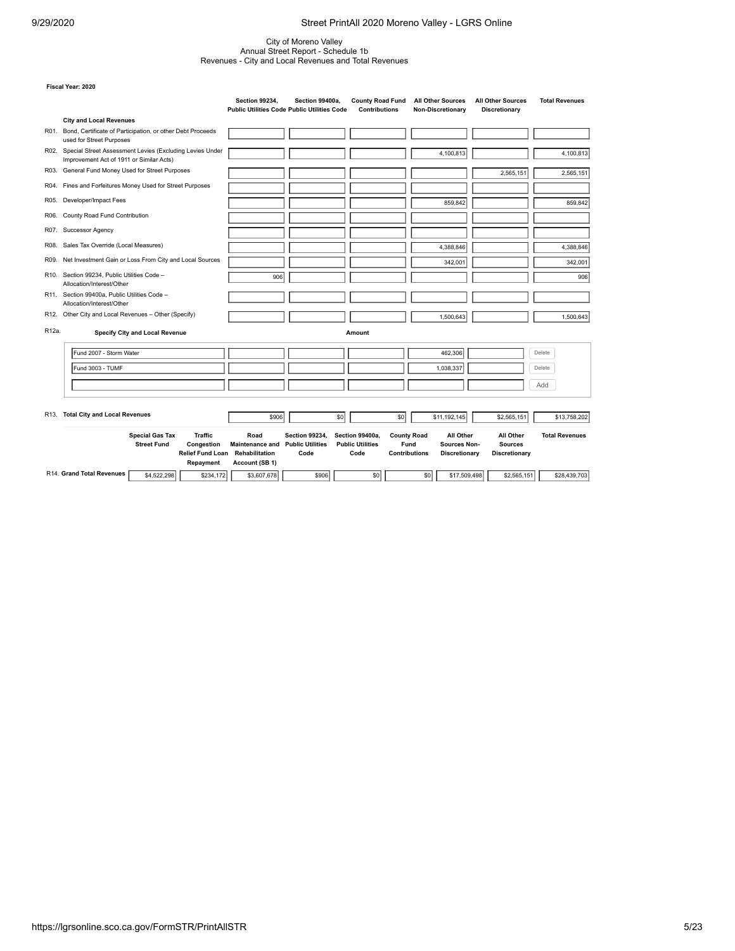# City of Moreno Valley Annual Street Report - Schedule 1b Revenues - City and Local Revenues and Total Revenues

|       |                                                                                                                      | <b>Section 99234,</b>                                              | Section 99400a.<br><b>Public Utilities Code Public Utilities Code</b> | <b>County Road Fund</b><br><b>Contributions</b>    | <b>All Other Sources</b><br>Non-Discretionary                                                           | <b>All Other Sources</b><br>Discretionary    | <b>Total Revenues</b> |
|-------|----------------------------------------------------------------------------------------------------------------------|--------------------------------------------------------------------|-----------------------------------------------------------------------|----------------------------------------------------|---------------------------------------------------------------------------------------------------------|----------------------------------------------|-----------------------|
|       | <b>City and Local Revenues</b>                                                                                       |                                                                    |                                                                       |                                                    |                                                                                                         |                                              |                       |
| R01.  | Bond, Certificate of Participation, or other Debt Proceeds<br>used for Street Purposes                               |                                                                    |                                                                       |                                                    |                                                                                                         |                                              |                       |
|       | R02. Special Street Assessment Levies (Excluding Levies Under<br>Improvement Act of 1911 or Similar Acts)            |                                                                    |                                                                       |                                                    | 4,100,813                                                                                               |                                              | 4,100,813             |
| R03.  | General Fund Money Used for Street Purposes                                                                          |                                                                    |                                                                       |                                                    |                                                                                                         | 2,565,151                                    | 2,565,151             |
|       | R04. Fines and Forfeitures Money Used for Street Purposes                                                            |                                                                    |                                                                       |                                                    |                                                                                                         |                                              |                       |
| R05.  | Developer/Impact Fees                                                                                                |                                                                    |                                                                       |                                                    | 859,842                                                                                                 |                                              | 859,842               |
| R06.  | County Road Fund Contribution                                                                                        |                                                                    |                                                                       |                                                    |                                                                                                         |                                              |                       |
| R07.  | Successor Agency                                                                                                     |                                                                    |                                                                       |                                                    |                                                                                                         |                                              |                       |
| R08.  | Sales Tax Override (Local Measures)                                                                                  |                                                                    |                                                                       |                                                    | 4,388,846                                                                                               |                                              | 4,388,846             |
| R09.  | Net Investment Gain or Loss From City and Local Sources                                                              |                                                                    |                                                                       |                                                    | 342,001                                                                                                 |                                              | 342,001               |
| R10.  | Section 99234, Public Utilities Code -<br>Allocation/Interest/Other                                                  | 906                                                                |                                                                       |                                                    |                                                                                                         |                                              | 906                   |
|       | R11. Section 99400a, Public Utilities Code -<br>Allocation/Interest/Other                                            |                                                                    |                                                                       |                                                    |                                                                                                         |                                              |                       |
|       | R12. Other City and Local Revenues - Other (Specify)                                                                 |                                                                    |                                                                       |                                                    | 1,500,643                                                                                               |                                              | 1,500,643             |
| R12a. | <b>Specify City and Local Revenue</b>                                                                                |                                                                    |                                                                       | Amount                                             |                                                                                                         |                                              |                       |
|       | Fund 2007 - Storm Water                                                                                              |                                                                    |                                                                       |                                                    | 462,306                                                                                                 |                                              | Delete                |
|       | Fund 3003 - TUMF                                                                                                     |                                                                    |                                                                       |                                                    | 1,038,337                                                                                               |                                              | Delete                |
|       |                                                                                                                      |                                                                    |                                                                       |                                                    |                                                                                                         |                                              | Add                   |
|       |                                                                                                                      |                                                                    |                                                                       |                                                    |                                                                                                         |                                              |                       |
| R13.  | <b>Total City and Local Revenues</b>                                                                                 | \$906                                                              | \$0                                                                   | \$0                                                | \$11,192,145                                                                                            | \$2,565,151                                  | \$13,758,202          |
|       | <b>Special Gas Tax</b><br><b>Traffic</b><br><b>Street Fund</b><br>Congestion<br><b>Relief Fund Loan</b><br>Repayment | Road<br><b>Maintenance and</b><br>Rehabilitation<br>Account (SB 1) | <b>Section 99234.</b><br><b>Public Utilities</b><br>Code              | Section 99400a.<br><b>Public Utilities</b><br>Code | <b>County Road</b><br>All Other<br>Fund<br><b>Sources Non-</b><br><b>Contributions</b><br>Discretionary | All Other<br><b>Sources</b><br>Discretionary | <b>Total Revenues</b> |
|       | R14. Grand Total Revenues<br>\$4,522,298<br>\$234,172                                                                | \$3,607,678                                                        | \$906                                                                 | \$0                                                | \$0<br>\$17,509,498                                                                                     | \$2,565,151                                  | \$28,439,703          |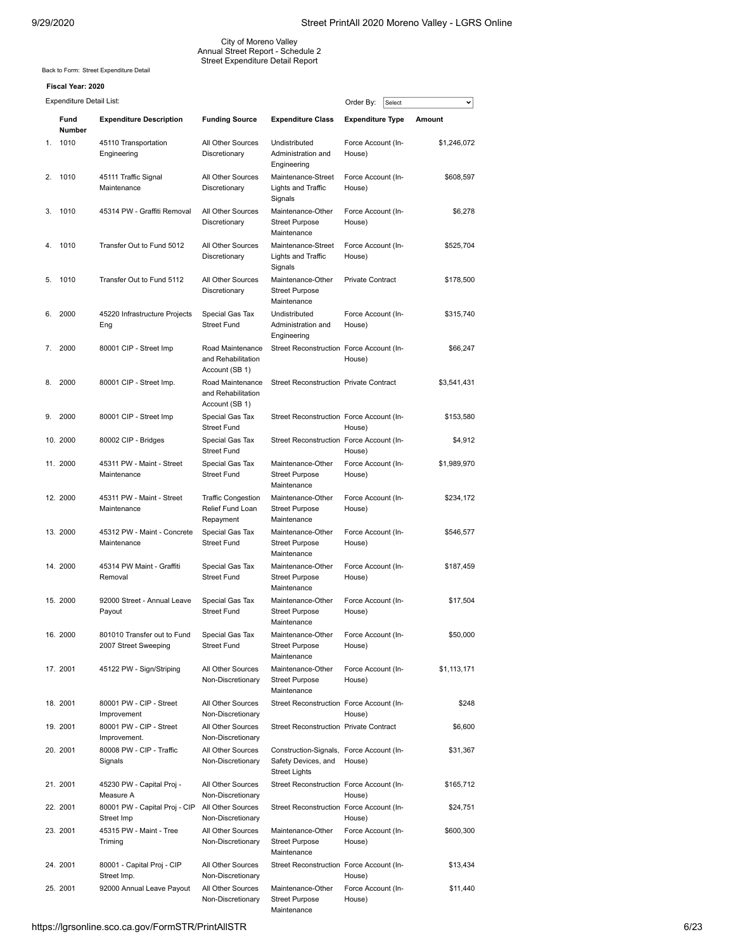City of Moreno Valley Annual Street Report - Schedule 2 Street Expenditure Detail Report

Back to Form: [Street Expenditure Detail](https://lgrsonline.sco.ca.gov/FormSTR/ExpenditureDetail)

| Expenditure Detail List: |  |
|--------------------------|--|
|                          |  |

|    | <b>Expenditure Detail List:</b> |                                                     |                                                            |                                                                                         | Order By:<br>Select          | v           |
|----|---------------------------------|-----------------------------------------------------|------------------------------------------------------------|-----------------------------------------------------------------------------------------|------------------------------|-------------|
|    | Fund<br><b>Number</b>           | <b>Expenditure Description</b>                      | <b>Funding Source</b>                                      | <b>Expenditure Class</b>                                                                | <b>Expenditure Type</b>      | Amount      |
| 1. | 1010                            | 45110 Transportation<br>Engineering                 | All Other Sources<br>Discretionary                         | Undistributed<br>Administration and<br>Engineering                                      | Force Account (In-<br>House) | \$1,246,072 |
| 2. | 1010                            | 45111 Traffic Signal<br>Maintenance                 | All Other Sources<br>Discretionary                         | Maintenance-Street<br>Lights and Traffic<br>Signals                                     | Force Account (In-<br>House) | \$608,597   |
| 3. | 1010                            | 45314 PW - Graffiti Removal                         | All Other Sources<br>Discretionary                         | Maintenance-Other<br><b>Street Purpose</b><br>Maintenance                               | Force Account (In-<br>House) | \$6,278     |
| 4. | 1010                            | Transfer Out to Fund 5012                           | All Other Sources<br>Discretionary                         | Maintenance-Street<br>Lights and Traffic<br>Signals                                     | Force Account (In-<br>House) | \$525,704   |
| 5. | 1010                            | Transfer Out to Fund 5112                           | All Other Sources<br>Discretionary                         | Maintenance-Other<br><b>Street Purpose</b><br>Maintenance                               | <b>Private Contract</b>      | \$178,500   |
| 6. | 2000                            | 45220 Infrastructure Projects<br>Eng                | Special Gas Tax<br><b>Street Fund</b>                      | Undistributed<br>Administration and<br>Engineering                                      | Force Account (In-<br>House) | \$315,740   |
| 7. | 2000                            | 80001 CIP - Street Imp                              | Road Maintenance<br>and Rehabilitation<br>Account (SB 1)   | Street Reconstruction Force Account (In-                                                | House)                       | \$66,247    |
| 8. | 2000                            | 80001 CIP - Street Imp.                             | Road Maintenance<br>and Rehabilitation<br>Account (SB 1)   | <b>Street Reconstruction Private Contract</b>                                           |                              | \$3,541,431 |
| 9. | 2000                            | 80001 CIP - Street Imp                              | Special Gas Tax<br><b>Street Fund</b>                      | Street Reconstruction Force Account (In-                                                | House)                       | \$153,580   |
|    | 10. 2000                        | 80002 CIP - Bridges                                 | Special Gas Tax<br><b>Street Fund</b>                      | Street Reconstruction Force Account (In-                                                | House)                       | \$4,912     |
|    | 11. 2000                        | 45311 PW - Maint - Street<br>Maintenance            | Special Gas Tax<br><b>Street Fund</b>                      | Maintenance-Other<br><b>Street Purpose</b><br>Maintenance                               | Force Account (In-<br>House) | \$1,989,970 |
|    | 12. 2000                        | 45311 PW - Maint - Street<br>Maintenance            | <b>Traffic Congestion</b><br>Relief Fund Loan<br>Repayment | Maintenance-Other<br><b>Street Purpose</b><br>Maintenance                               | Force Account (In-<br>House) | \$234,172   |
|    | 13. 2000                        | 45312 PW - Maint - Concrete<br>Maintenance          | Special Gas Tax<br><b>Street Fund</b>                      | Maintenance-Other<br><b>Street Purpose</b><br>Maintenance                               | Force Account (In-<br>House) | \$546,577   |
|    | 14. 2000                        | 45314 PW Maint - Graffiti<br>Removal                | Special Gas Tax<br><b>Street Fund</b>                      | Maintenance-Other<br><b>Street Purpose</b><br>Maintenance                               | Force Account (In-<br>House) | \$187,459   |
|    | 15.2000                         | 92000 Street - Annual Leave<br>Payout               | Special Gas Tax<br><b>Street Fund</b>                      | Maintenance-Other<br><b>Street Purpose</b><br>Maintenance                               | Force Account (In-<br>House) | \$17,504    |
|    | 16. 2000                        | 801010 Transfer out to Fund<br>2007 Street Sweeping | Special Gas Tax<br><b>Street Fund</b>                      | Maintenance-Other<br><b>Street Purpose</b><br>Maintenance                               | Force Account (In-<br>House) | \$50,000    |
|    | 17. 2001                        | 45122 PW - Sign/Striping                            | All Other Sources<br>Non-Discretionary                     | Maintenance-Other<br><b>Street Purpose</b><br>Maintenance                               | Force Account (In-<br>House) | \$1,113,171 |
|    | 18. 2001                        | 80001 PW - CIP - Street<br>Improvement              | All Other Sources<br>Non-Discretionary                     | Street Reconstruction Force Account (In-                                                | House)                       | \$248       |
|    | 19. 2001                        | 80001 PW - CIP - Street<br>Improvement.             | All Other Sources<br>Non-Discretionary                     | <b>Street Reconstruction Private Contract</b>                                           |                              | \$6,600     |
|    | 20. 2001                        | 80008 PW - CIP - Traffic<br>Signals                 | All Other Sources<br>Non-Discretionary                     | Construction-Signals, Force Account (In-<br>Safety Devices, and<br><b>Street Lights</b> | House)                       | \$31,367    |
|    | 21. 2001                        | 45230 PW - Capital Proj -<br>Measure A              | All Other Sources<br>Non-Discretionary                     | Street Reconstruction Force Account (In-                                                | House)                       | \$165,712   |
|    | 22. 2001                        | 80001 PW - Capital Proj - CIP<br>Street Imp         | All Other Sources<br>Non-Discretionary                     | Street Reconstruction Force Account (In-                                                | House)                       | \$24,751    |
|    | 23. 2001                        | 45315 PW - Maint - Tree<br>Triming                  | All Other Sources<br>Non-Discretionary                     | Maintenance-Other<br><b>Street Purpose</b><br>Maintenance                               | Force Account (In-<br>House) | \$600,300   |
|    | 24. 2001                        | 80001 - Capital Proj - CIP<br>Street Imp.           | All Other Sources<br>Non-Discretionary                     | Street Reconstruction Force Account (In-                                                | House)                       | \$13,434    |
|    | 25. 2001                        | 92000 Annual Leave Payout                           | All Other Sources<br>Non-Discretionary                     | Maintenance-Other<br><b>Street Purpose</b><br>Maintenance                               | Force Account (In-<br>House) | \$11,440    |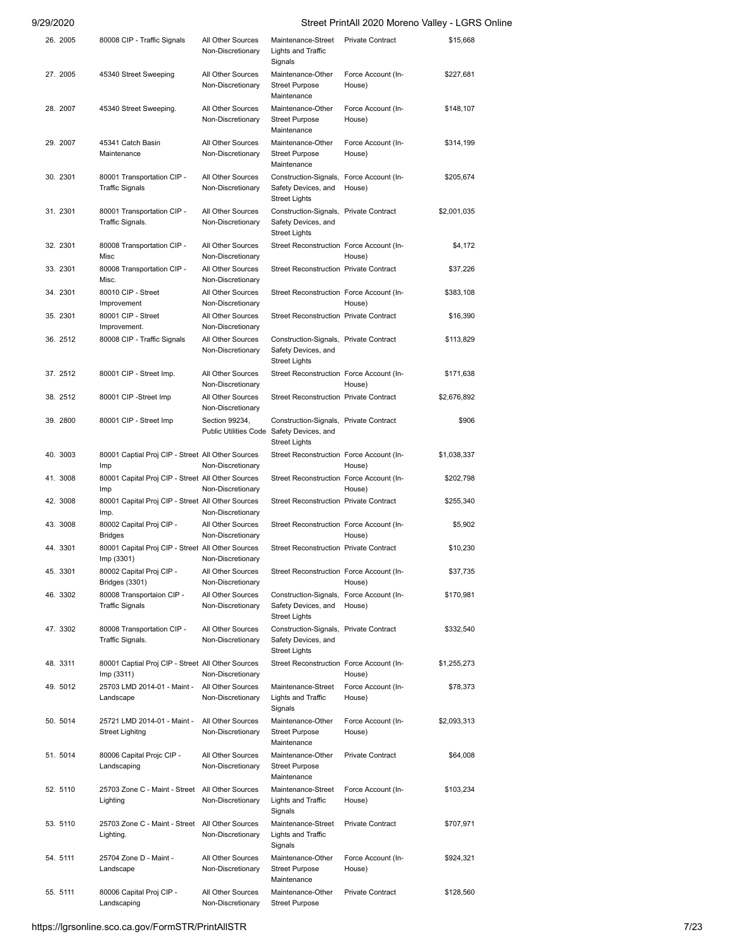| 26. 2005 | 80008 CIP - Traffic Signals                                     | All Other Sources<br>Non-Discretionary  | Maintenance-Street<br>Lights and Traffic<br>Signals                                     | <b>Private Contract</b>      | \$15,668    |
|----------|-----------------------------------------------------------------|-----------------------------------------|-----------------------------------------------------------------------------------------|------------------------------|-------------|
| 27. 2005 | 45340 Street Sweeping                                           | All Other Sources<br>Non-Discretionary  | Maintenance-Other<br><b>Street Purpose</b><br>Maintenance                               | Force Account (In-<br>House) | \$227,681   |
| 28. 2007 | 45340 Street Sweeping.                                          | All Other Sources<br>Non-Discretionary  | Maintenance-Other<br><b>Street Purpose</b><br>Maintenance                               | Force Account (In-<br>House) | \$148,107   |
| 29. 2007 | 45341 Catch Basin<br>Maintenance                                | All Other Sources<br>Non-Discretionary  | Maintenance-Other<br><b>Street Purpose</b><br>Maintenance                               | Force Account (In-<br>House) | \$314,199   |
| 30. 2301 | 80001 Transportation CIP -<br><b>Traffic Signals</b>            | All Other Sources<br>Non-Discretionary  | Construction-Signals, Force Account (In-<br>Safety Devices, and<br>Street Lights        | House)                       | \$205,674   |
| 31. 2301 | 80001 Transportation CIP -<br>Traffic Signals.                  | All Other Sources<br>Non-Discretionary  | Construction-Signals, Private Contract<br>Safety Devices, and<br>Street Lights          |                              | \$2,001,035 |
| 32. 2301 | 80008 Transportation CIP -<br>Misc                              | All Other Sources<br>Non-Discretionary  | Street Reconstruction Force Account (In-                                                | House)                       | \$4,172     |
| 33. 2301 | 80008 Transportation CIP -<br>Misc.                             | All Other Sources<br>Non-Discretionary  | <b>Street Reconstruction Private Contract</b>                                           |                              | \$37,226    |
| 34. 2301 | 80010 CIP - Street<br>Improvement                               | All Other Sources<br>Non-Discretionary  | Street Reconstruction Force Account (In-                                                | House)                       | \$383,108   |
| 35. 2301 | 80001 CIP - Street<br>Improvement.                              | All Other Sources<br>Non-Discretionary  | <b>Street Reconstruction Private Contract</b>                                           |                              | \$16,390    |
| 36. 2512 | 80008 CIP - Traffic Signals                                     | All Other Sources<br>Non-Discretionary  | Construction-Signals, Private Contract<br>Safety Devices, and<br><b>Street Lights</b>   |                              | \$113,829   |
| 37.2512  | 80001 CIP - Street Imp.                                         | All Other Sources<br>Non-Discretionary  | Street Reconstruction Force Account (In-                                                | House)                       | \$171,638   |
| 38. 2512 | 80001 CIP -Street Imp                                           | All Other Sources<br>Non-Discretionary  | <b>Street Reconstruction Private Contract</b>                                           |                              | \$2,676,892 |
| 39. 2800 | 80001 CIP - Street Imp                                          | Section 99234,<br>Public Utilities Code | Construction-Signals, Private Contract<br>Safety Devices, and<br><b>Street Lights</b>   |                              | \$906       |
| 40. 3003 | 80001 Captial Proj CIP - Street All Other Sources<br>Imp        | Non-Discretionary                       | Street Reconstruction Force Account (In-                                                | House)                       | \$1,038,337 |
| 41. 3008 | 80001 Capital Proj CIP - Street All Other Sources<br>Imp        | Non-Discretionary                       | Street Reconstruction Force Account (In-                                                | House)                       | \$202,798   |
| 42. 3008 | 80001 Capital Proj CIP - Street All Other Sources<br>Imp.       | Non-Discretionary                       | <b>Street Reconstruction Private Contract</b>                                           |                              | \$255,340   |
| 43. 3008 | 80002 Capital Proj CIP -<br><b>Bridges</b>                      | All Other Sources<br>Non-Discretionary  | Street Reconstruction Force Account (In-                                                | House)                       | \$5,902     |
| 44. 3301 | 80001 Capital Proj CIP - Street All Other Sources<br>Imp (3301) | Non-Discretionary                       | <b>Street Reconstruction Private Contract</b>                                           |                              | \$10.230    |
| 45. 3301 | 80002 Capital Proj CIP -<br>Bridges (3301)                      | All Other Sources<br>Non-Discretionary  | Street Reconstruction Force Account (In-                                                | House)                       | \$37,735    |
| 46. 3302 | 80008 Transportaion CIP -<br><b>Traffic Signals</b>             | All Other Sources<br>Non-Discretionary  | Construction-Signals, Force Account (In-<br>Safety Devices, and<br><b>Street Lights</b> | House)                       | \$170,981   |
| 47.3302  | 80008 Transportation CIP -<br>Traffic Signals.                  | All Other Sources<br>Non-Discretionary  | Construction-Signals, Private Contract<br>Safety Devices, and<br><b>Street Lights</b>   |                              | \$332,540   |
| 48. 3311 | 80001 Captial Proj CIP - Street All Other Sources<br>Imp (3311) | Non-Discretionary                       | Street Reconstruction Force Account (In-                                                | House)                       | \$1,255,273 |
| 49. 5012 | 25703 LMD 2014-01 - Maint -<br>Landscape                        | All Other Sources<br>Non-Discretionary  | Maintenance-Street<br>Lights and Traffic<br>Signals                                     | Force Account (In-<br>House) | \$78,373    |
| 50. 5014 | 25721 LMD 2014-01 - Maint -<br>Street Lighitng                  | All Other Sources<br>Non-Discretionary  | Maintenance-Other<br><b>Street Purpose</b><br>Maintenance                               | Force Account (In-<br>House) | \$2,093,313 |
| 51. 5014 | 80006 Capital Projc CIP -<br>Landscaping                        | All Other Sources<br>Non-Discretionary  | Maintenance-Other<br><b>Street Purpose</b><br>Maintenance                               | <b>Private Contract</b>      | \$64,008    |
| 52. 5110 | 25703 Zone C - Maint - Street All Other Sources<br>Lighting     | Non-Discretionary                       | Maintenance-Street<br>Lights and Traffic<br>Signals                                     | Force Account (In-<br>House) | \$103,234   |
| 53. 5110 | 25703 Zone C - Maint - Street All Other Sources<br>Lighting.    | Non-Discretionary                       | Maintenance-Street<br>Lights and Traffic<br>Signals                                     | <b>Private Contract</b>      | \$707,971   |
| 54. 5111 | 25704 Zone D - Maint -<br>Landscape                             | All Other Sources<br>Non-Discretionary  | Maintenance-Other<br><b>Street Purpose</b><br>Maintenance                               | Force Account (In-<br>House) | \$924,321   |
| 55. 5111 | 80006 Capital Proj CIP -<br>Landscaping                         | All Other Sources<br>Non-Discretionary  | Maintenance-Other<br><b>Street Purpose</b>                                              | <b>Private Contract</b>      | \$128,560   |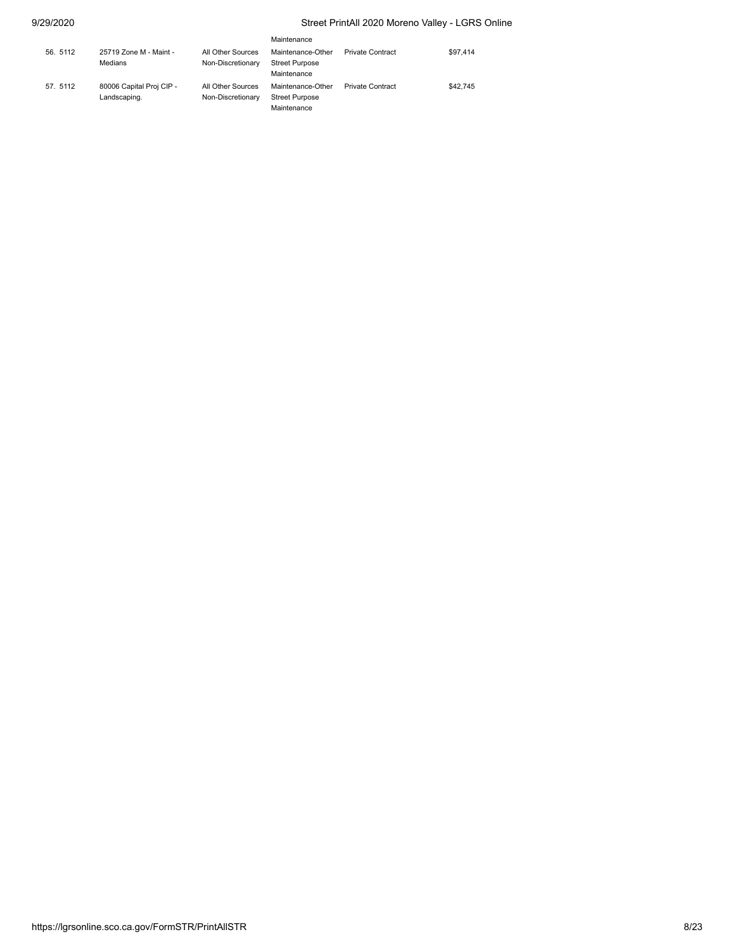|          |                                          |                                        | Maintenance                                               |                         |          |
|----------|------------------------------------------|----------------------------------------|-----------------------------------------------------------|-------------------------|----------|
| 56. 5112 | 25719 Zone M - Maint -<br>Medians        | All Other Sources<br>Non-Discretionary | Maintenance-Other<br><b>Street Purpose</b><br>Maintenance | <b>Private Contract</b> | \$97.414 |
| 57. 5112 | 80006 Capital Proj CIP -<br>Landscaping. | All Other Sources<br>Non-Discretionary | Maintenance-Other<br><b>Street Purpose</b><br>Maintenance | <b>Private Contract</b> | \$42.745 |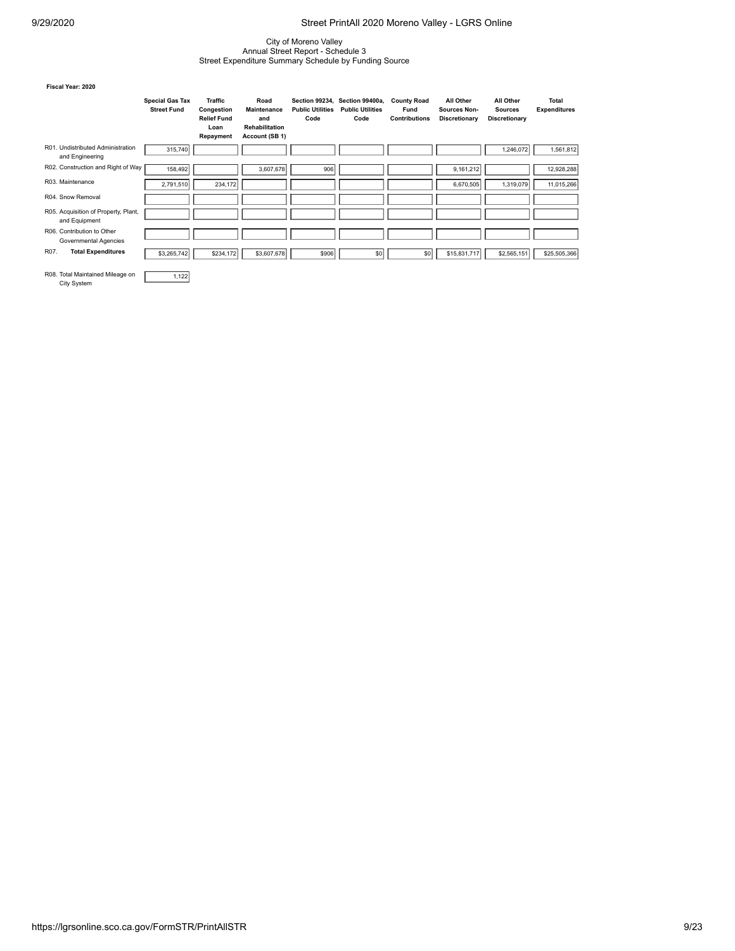## City of Moreno Valley Annual Street Report - Schedule 3 Street Expenditure Summary Schedule by Funding Source

#### **Fiscal Year: 2020**

|                                                       | <b>Special Gas Tax</b><br><b>Street Fund</b> | <b>Traffic</b><br>Congestion<br><b>Relief Fund</b><br>Loan<br>Repayment | Road<br><b>Maintenance</b><br>and<br><b>Rehabilitation</b><br>Account (SB 1) | <b>Section 99234.</b><br><b>Public Utilities</b><br>Code | Section 99400a,<br><b>Public Utilities</b><br>Code | <b>County Road</b><br>Fund<br><b>Contributions</b> | All Other<br>Sources Non-<br>Discretionary | All Other<br><b>Sources</b><br>Discretionary | <b>Total</b><br><b>Expenditures</b> |
|-------------------------------------------------------|----------------------------------------------|-------------------------------------------------------------------------|------------------------------------------------------------------------------|----------------------------------------------------------|----------------------------------------------------|----------------------------------------------------|--------------------------------------------|----------------------------------------------|-------------------------------------|
| R01. Undistributed Administration<br>and Engineering  | 315,740                                      |                                                                         |                                                                              |                                                          |                                                    |                                                    |                                            | 1,246,072                                    | 1,561,812                           |
| R02. Construction and Right of Way                    | 158,492                                      |                                                                         | 3,607,678                                                                    | 906                                                      |                                                    |                                                    | 9,161,212                                  |                                              | 12,928,288                          |
| R03. Maintenance                                      | 2,791,510                                    | 234,172                                                                 |                                                                              |                                                          |                                                    |                                                    | 6,670,505                                  | 1,319,079                                    | 11,015,266                          |
| R04. Snow Removal                                     |                                              |                                                                         |                                                                              |                                                          |                                                    |                                                    |                                            |                                              |                                     |
| R05. Acquisition of Property, Plant,<br>and Equipment |                                              |                                                                         |                                                                              |                                                          |                                                    |                                                    |                                            |                                              |                                     |
| R06. Contribution to Other<br>Governmental Agencies   |                                              |                                                                         |                                                                              |                                                          |                                                    |                                                    |                                            |                                              |                                     |
| R07.<br><b>Total Expenditures</b>                     | \$3,265,742                                  | \$234,172                                                               | \$3,607,678                                                                  | \$906                                                    | \$0                                                | \$0                                                | \$15,831,717                               | \$2,565,151                                  | \$25,505,366                        |
| R08. Total Maintained Mileage on<br>City System       | 1,122                                        |                                                                         |                                                                              |                                                          |                                                    |                                                    |                                            |                                              |                                     |

https://lgrsonline.sco.ca.gov/FormSTR/PrintAllSTR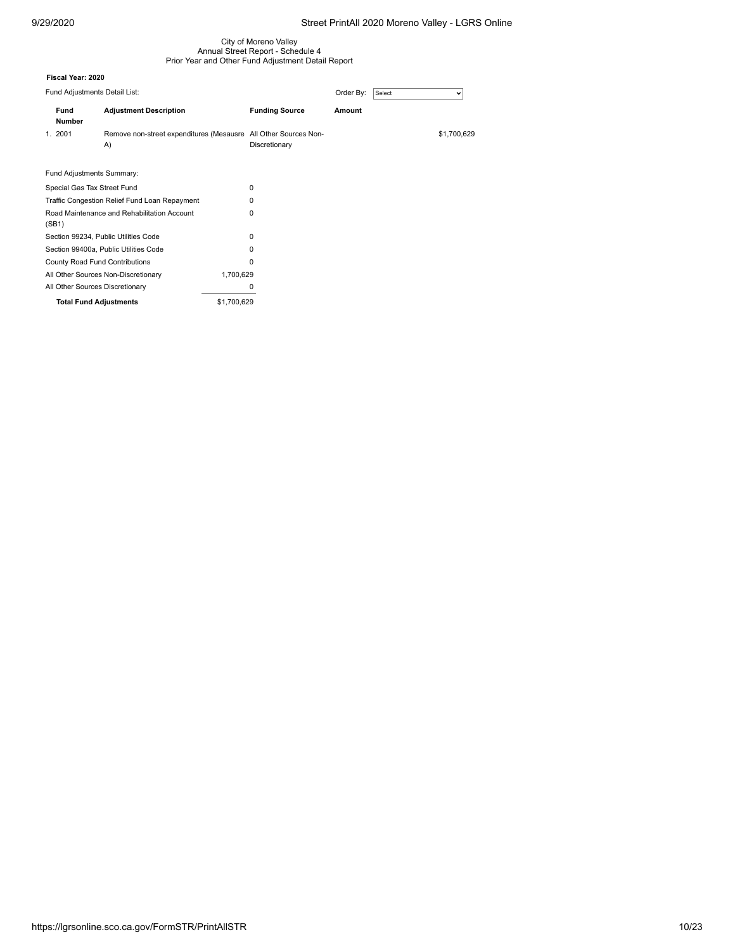### City of Moreno Valley Annual Street Report - Schedule 4 Prior Year and Other Fund Adjustment Detail Report

|                             | Fund Adjustments Detail List: |                                                                       |                       | Order By: | Select | v           |
|-----------------------------|-------------------------------|-----------------------------------------------------------------------|-----------------------|-----------|--------|-------------|
|                             | <b>Fund</b><br><b>Number</b>  | <b>Adjustment Description</b>                                         | <b>Funding Source</b> | Amount    |        |             |
|                             | 1. 2001                       | Remove non-street expenditures (Mesausre All Other Sources Non-<br>A) | Discretionary         |           |        | \$1,700,629 |
|                             | Fund Adjustments Summary:     |                                                                       |                       |           |        |             |
| Special Gas Tax Street Fund |                               |                                                                       | 0                     |           |        |             |

| Traffic Congestion Relief Fund Loan Repayment        | 0           |
|------------------------------------------------------|-------------|
| Road Maintenance and Rehabilitation Account<br>(SB1) | 0           |
| Section 99234, Public Utilities Code                 | 0           |
| Section 99400a. Public Utilities Code                | 0           |
| County Road Fund Contributions                       | 0           |
| All Other Sources Non-Discretionary                  | 1.700.629   |
| All Other Sources Discretionary                      | 0           |
| <b>Total Fund Adjustments</b>                        | \$1,700.629 |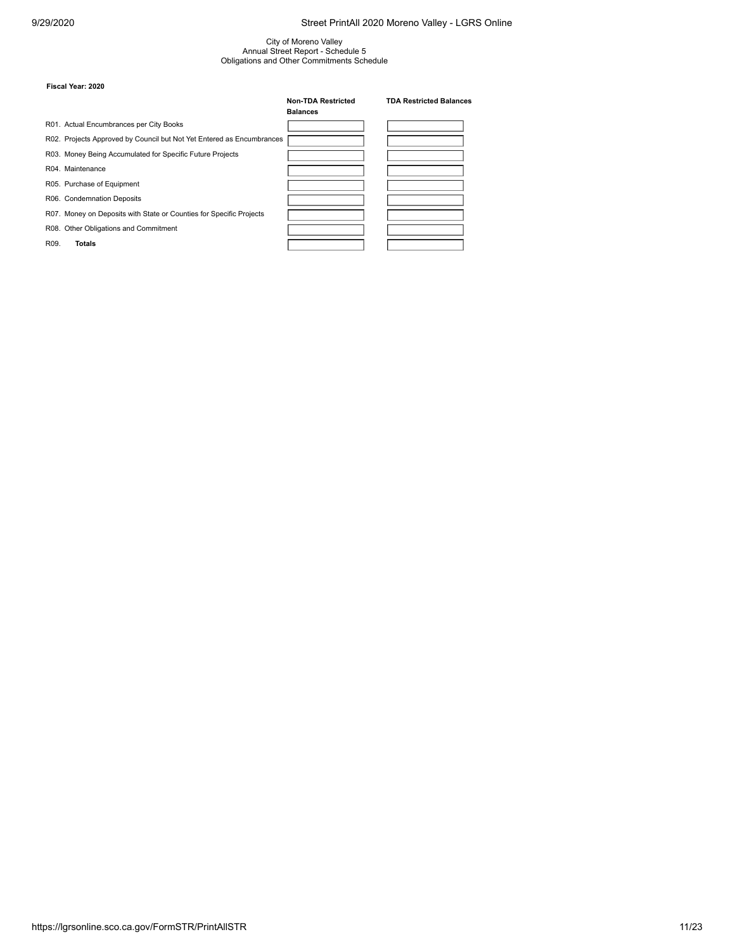# City of Moreno Valley Annual Street Report - Schedule 5 Obligations and Other Commitments Schedule

|                   |                                                                       | <b>Non-TDA Restricted</b><br><b>Balances</b> | <b>TDA Restricted Balances</b> |
|-------------------|-----------------------------------------------------------------------|----------------------------------------------|--------------------------------|
|                   | R01. Actual Encumbrances per City Books                               |                                              |                                |
|                   | R02. Projects Approved by Council but Not Yet Entered as Encumbrances |                                              |                                |
|                   | R03. Money Being Accumulated for Specific Future Projects             |                                              |                                |
|                   | R04. Maintenance                                                      |                                              |                                |
|                   | R05. Purchase of Equipment                                            |                                              |                                |
|                   | R06. Condemnation Deposits                                            |                                              |                                |
|                   | R07. Money on Deposits with State or Counties for Specific Projects   |                                              |                                |
|                   | R08. Other Obligations and Commitment                                 |                                              |                                |
| R <sub>09</sub> . | Totals                                                                |                                              |                                |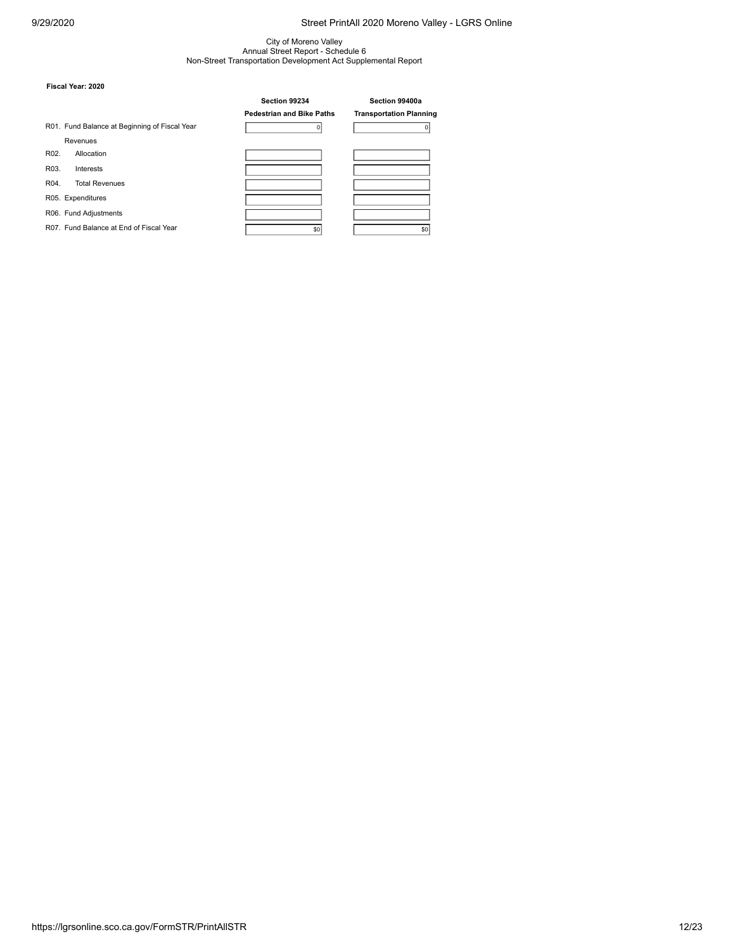## City of Moreno Valley Annual Street Report - Schedule 6 Non-Street Transportation Development Act Supplemental Report

|      |                                               | Section 99234                    |  | Section 99400a                 |  |
|------|-----------------------------------------------|----------------------------------|--|--------------------------------|--|
|      |                                               | <b>Pedestrian and Bike Paths</b> |  | <b>Transportation Planning</b> |  |
|      | R01. Fund Balance at Beginning of Fiscal Year |                                  |  |                                |  |
|      | Revenues                                      |                                  |  |                                |  |
| R02. | Allocation                                    |                                  |  |                                |  |
| R03. | Interests                                     |                                  |  |                                |  |
| R04. | <b>Total Revenues</b>                         |                                  |  |                                |  |
|      | R05. Expenditures                             |                                  |  |                                |  |
|      | R06. Fund Adjustments                         |                                  |  |                                |  |
|      | R07. Fund Balance at End of Fiscal Year       | \$0                              |  | \$0                            |  |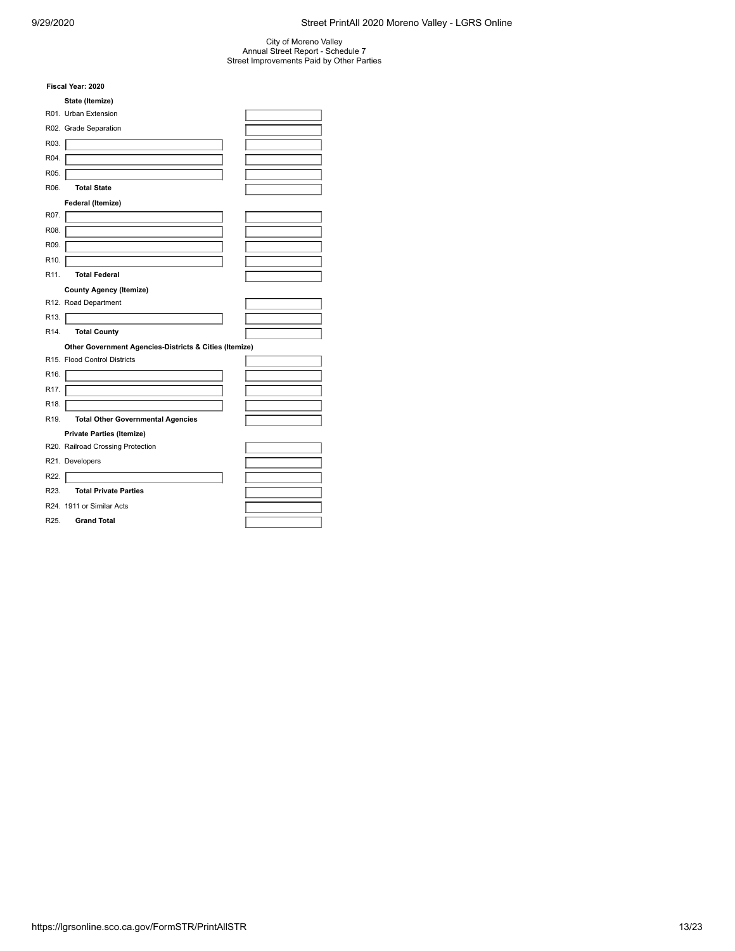## City of Moreno Valley Annual Street Report - Schedule 7 Street Improvements Paid by Other Parties

|                   | Fiscal Year: 2020                                      |  |
|-------------------|--------------------------------------------------------|--|
|                   | State (Itemize)                                        |  |
|                   | R01. Urban Extension                                   |  |
|                   | R02. Grade Separation                                  |  |
| R03.              |                                                        |  |
| R04.              |                                                        |  |
| R05.              |                                                        |  |
| R06.              | <b>Total State</b>                                     |  |
|                   | Federal (Itemize)                                      |  |
| R07.              |                                                        |  |
| R08.              |                                                        |  |
| R09.              |                                                        |  |
| R <sub>10</sub> . |                                                        |  |
| R <sub>11</sub> . | <b>Total Federal</b>                                   |  |
|                   | <b>County Agency (Itemize)</b>                         |  |
|                   | R12. Road Department                                   |  |
| R <sub>13</sub> . |                                                        |  |
| R <sub>14</sub> . | <b>Total County</b>                                    |  |
|                   | Other Government Agencies-Districts & Cities (Itemize) |  |
|                   | R15. Flood Control Districts                           |  |
| R <sub>16</sub> . |                                                        |  |
| R <sub>17</sub> . |                                                        |  |
| R <sub>18</sub> . |                                                        |  |
| R <sub>19</sub> . | <b>Total Other Governmental Agencies</b>               |  |
|                   | <b>Private Parties (Itemize)</b>                       |  |
|                   | R20. Railroad Crossing Protection                      |  |
|                   | R21. Developers                                        |  |
| R22.              |                                                        |  |
| R <sub>23</sub> . | <b>Total Private Parties</b>                           |  |
|                   | R24. 1911 or Similar Acts                              |  |
| R25.              | <b>Grand Total</b>                                     |  |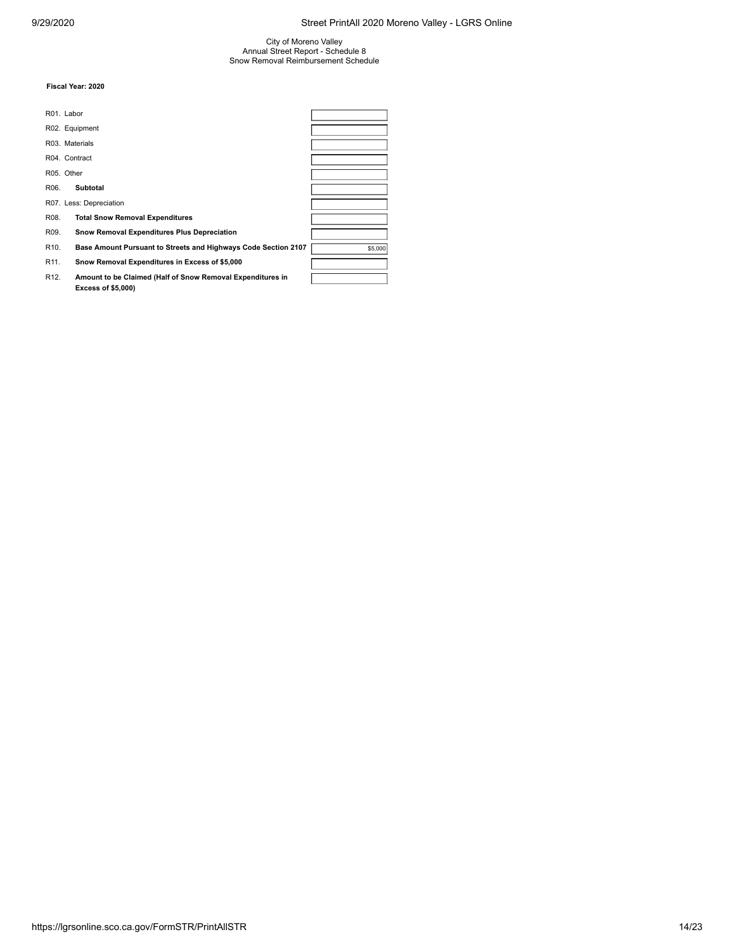City of Moreno Valley Annual Street Report - Schedule 8 Snow Removal Reimbursement Schedule

|                   | R01. Labor                                                                              |         |
|-------------------|-----------------------------------------------------------------------------------------|---------|
|                   | R02. Equipment                                                                          |         |
|                   | R03. Materials                                                                          |         |
|                   | R04. Contract                                                                           |         |
|                   | R05. Other                                                                              |         |
| R06.              | <b>Subtotal</b>                                                                         |         |
|                   | R07. Less: Depreciation                                                                 |         |
| R08.              | <b>Total Snow Removal Expenditures</b>                                                  |         |
| R09.              | Snow Removal Expenditures Plus Depreciation                                             |         |
| R <sub>10</sub> . | <b>Base Amount Pursuant to Streets and Highways Code Section 2107</b>                   | \$5,000 |
| R <sub>11</sub> . | Snow Removal Expenditures in Excess of \$5,000                                          |         |
| R <sub>12</sub> . | Amount to be Claimed (Half of Snow Removal Expenditures in<br><b>Excess of \$5,000)</b> |         |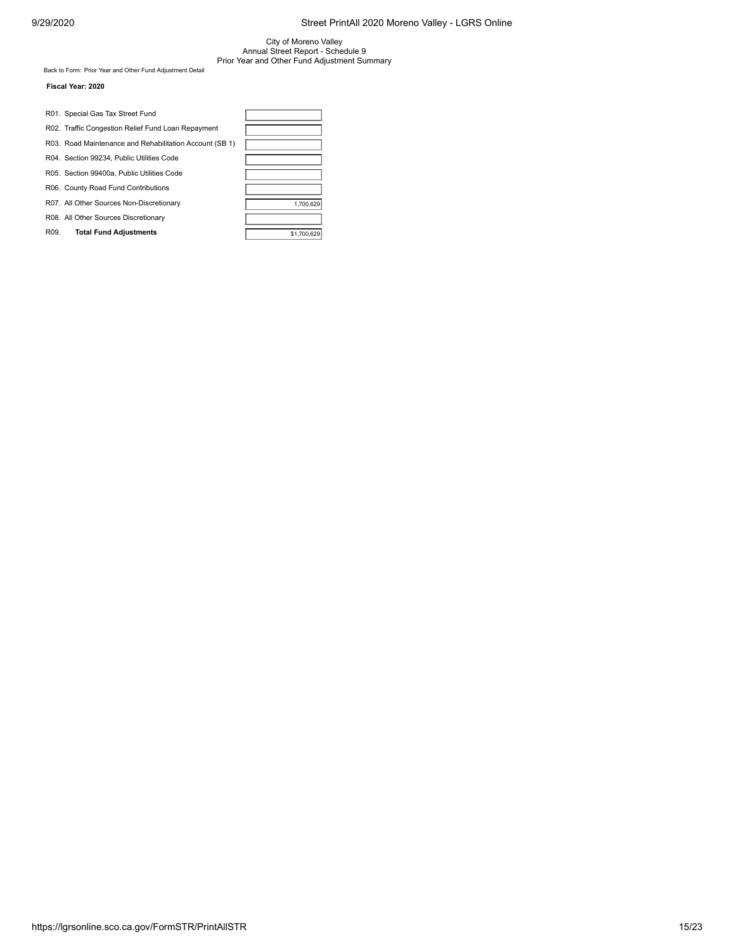City of Moreno Valley Annual Street Report - Schedule 9 Prior Year and Other Fund Adjustment Summary

Back to Form: [Prior Year and Other Fund Adjustment Detail](https://lgrsonline.sco.ca.gov/FormSTR/PriorFundAdjustmentDetail)

|      | R01. Special Gas Tax Street Fund                        |             |
|------|---------------------------------------------------------|-------------|
|      | R02. Traffic Congestion Relief Fund Loan Repayment      |             |
|      | R03. Road Maintenance and Rehabilitation Account (SB 1) |             |
|      | R04. Section 99234, Public Utilities Code               |             |
|      | R05. Section 99400a. Public Utilities Code              |             |
|      | R06. County Road Fund Contributions                     |             |
|      | R07. All Other Sources Non-Discretionary                | 1.700.629   |
|      | R08. All Other Sources Discretionary                    |             |
| R09. | <b>Total Fund Adjustments</b>                           | \$1,700,629 |

| 1,700,629   |
|-------------|
|             |
| \$1,700,629 |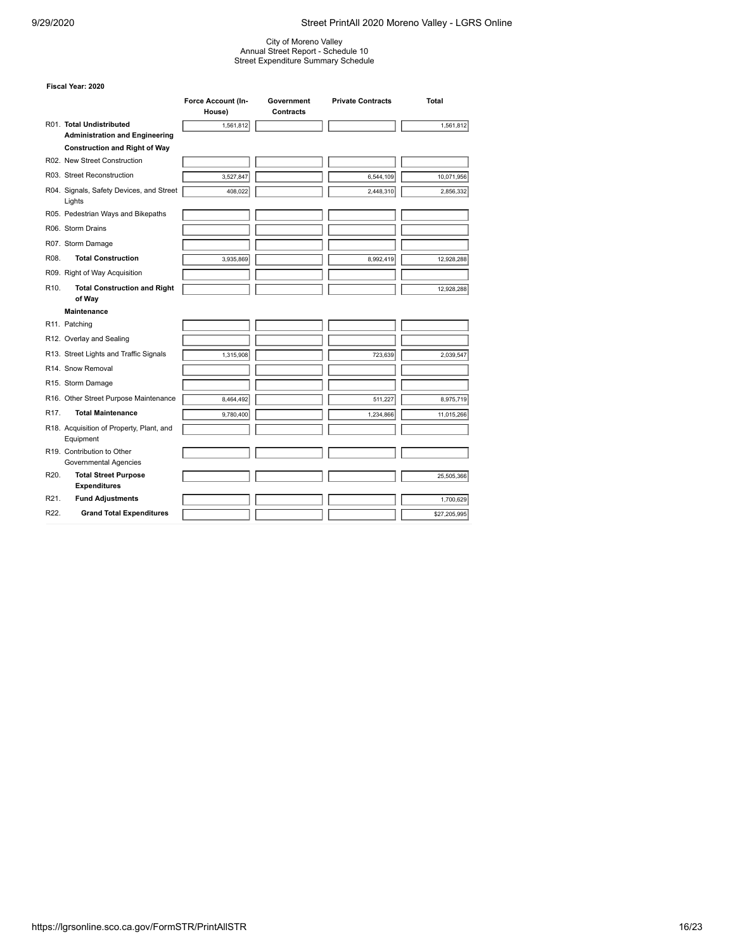City of Moreno Valley Annual Street Report - Schedule 10 Street Expenditure Summary Schedule

|                   |                                                                   | Force Account (In-<br>House) | Government<br>Contracts | <b>Private Contracts</b> | <b>Total</b> |
|-------------------|-------------------------------------------------------------------|------------------------------|-------------------------|--------------------------|--------------|
|                   | R01. Total Undistributed<br><b>Administration and Engineering</b> | 1,561,812                    |                         |                          | 1,561,812    |
|                   | <b>Construction and Right of Way</b>                              |                              |                         |                          |              |
|                   | R02. New Street Construction                                      |                              |                         |                          |              |
|                   | R03. Street Reconstruction                                        | 3,527,847                    |                         | 6,544,109                | 10,071,956   |
|                   | R04. Signals, Safety Devices, and Street<br>Lights                | 408,022                      |                         | 2,448,310                | 2,856,332    |
|                   | R05. Pedestrian Ways and Bikepaths                                |                              |                         |                          |              |
|                   | R06. Storm Drains                                                 |                              |                         |                          |              |
|                   | R07. Storm Damage                                                 |                              |                         |                          |              |
| R08.              | <b>Total Construction</b>                                         | 3,935,869                    |                         | 8,992,419                | 12,928,288   |
|                   | R09. Right of Way Acquisition                                     |                              |                         |                          |              |
| R <sub>10</sub> . | <b>Total Construction and Right</b><br>of Way                     |                              |                         |                          | 12,928,288   |
|                   | <b>Maintenance</b>                                                |                              |                         |                          |              |
|                   | R11. Patching                                                     |                              |                         |                          |              |
|                   | R12. Overlay and Sealing                                          |                              |                         |                          |              |
|                   | R13. Street Lights and Traffic Signals                            | 1,315,908                    |                         | 723.639                  | 2,039,547    |
|                   | R14. Snow Removal                                                 |                              |                         |                          |              |
|                   | R15. Storm Damage                                                 |                              |                         |                          |              |
|                   | R16. Other Street Purpose Maintenance                             | 8,464,492                    |                         | 511,227                  | 8,975,719    |
| R <sub>17</sub> . | <b>Total Maintenance</b>                                          | 9.780.400                    |                         | 1,234,866                | 11,015,266   |
|                   | R18. Acquisition of Property, Plant, and<br>Equipment             |                              |                         |                          |              |
|                   | R19. Contribution to Other<br>Governmental Agencies               |                              |                         |                          |              |
| R <sub>20</sub> . | <b>Total Street Purpose</b><br><b>Expenditures</b>                |                              |                         |                          | 25,505,366   |
| R <sub>21</sub> . | <b>Fund Adjustments</b>                                           |                              |                         |                          | 1,700,629    |
| R22.              | <b>Grand Total Expenditures</b>                                   |                              |                         |                          | \$27,205,995 |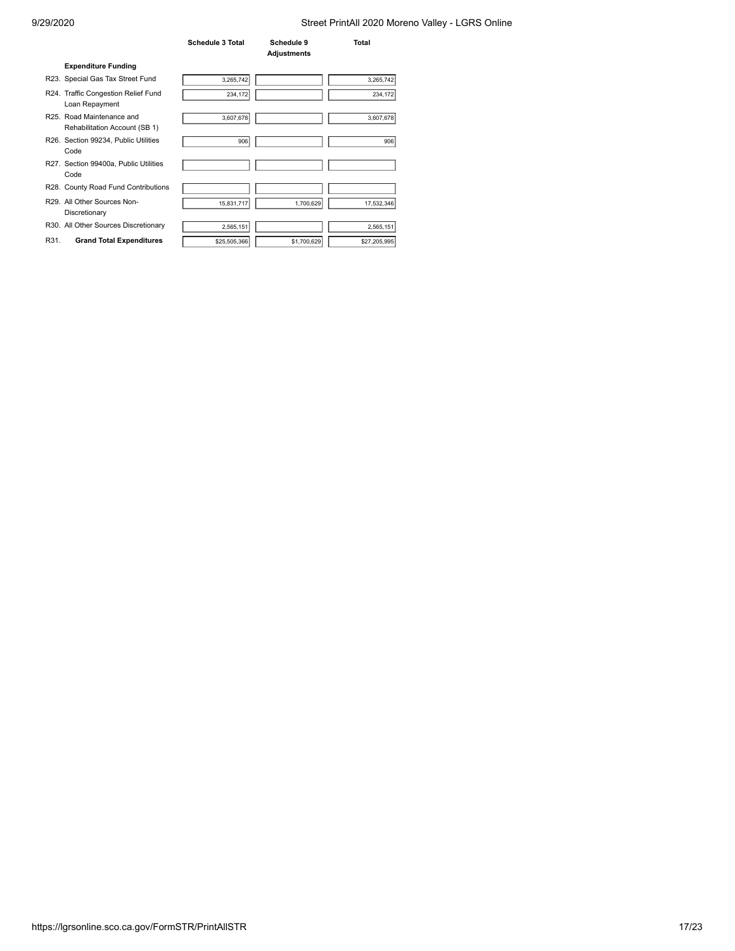|      |                                                                       | <b>Schedule 3 Total</b> | Schedule 9<br><b>Adjustments</b> | Total        |
|------|-----------------------------------------------------------------------|-------------------------|----------------------------------|--------------|
|      | <b>Expenditure Funding</b>                                            |                         |                                  |              |
|      | R23. Special Gas Tax Street Fund                                      | 3,265,742               |                                  | 3,265,742    |
|      | R24. Traffic Congestion Relief Fund<br>Loan Repayment                 | 234,172                 |                                  | 234,172      |
|      | R <sub>25</sub> Road Maintenance and<br>Rehabilitation Account (SB 1) | 3,607,678               |                                  | 3,607,678    |
|      | R26. Section 99234, Public Utilities<br>Code                          | 906                     |                                  | 906          |
|      | R27. Section 99400a, Public Utilities<br>Code                         |                         |                                  |              |
|      | R28. County Road Fund Contributions                                   |                         |                                  |              |
|      | R29. All Other Sources Non-<br>Discretionary                          | 15,831,717              | 1,700,629                        | 17,532,346   |
|      | R30. All Other Sources Discretionary                                  | 2,565,151               |                                  | 2,565,151    |
| R31. | <b>Grand Total Expenditures</b>                                       | \$25,505,366            | \$1,700,629                      | \$27,205,995 |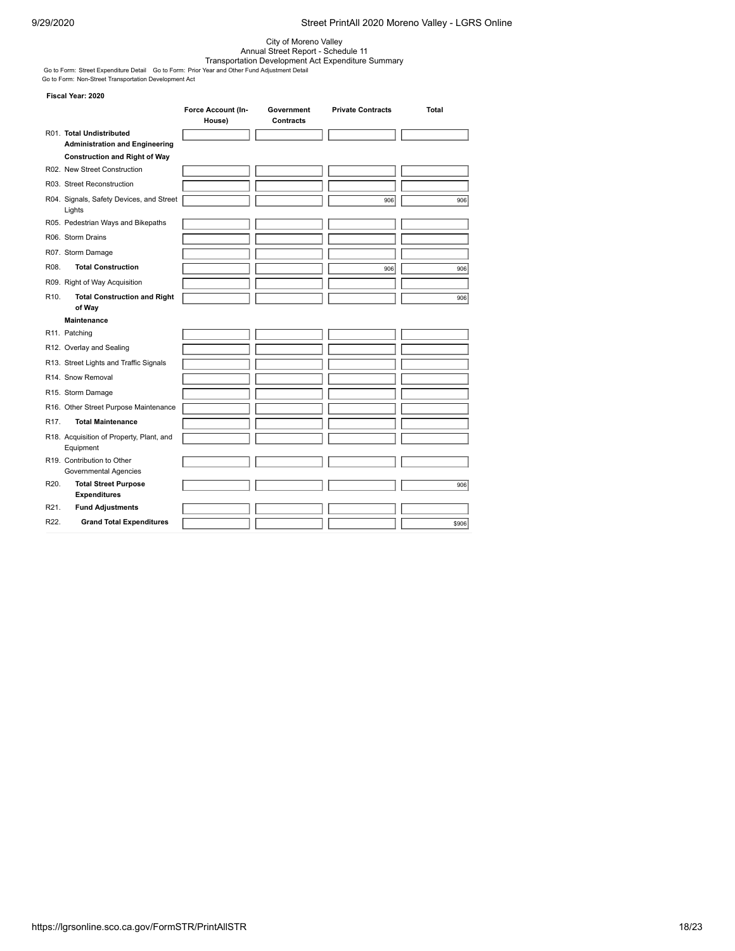City of Moreno Valley<br>Annual Street Report - Schedule 11<br>Go to Form: [Street Expenditure Detail](https://lgrsonline.sco.ca.gov/FormSTR/ExpenditureDetail) Go to Form: [Prior Year and Other Fund Adjustment Detail](https://lgrsonline.sco.ca.gov/FormSTR/PriorFundAdjustmentDetail)<br>Go to Form: [Non-Street Transportation Development Act](https://lgrsonline.sco.ca.gov/FormSTR/NonStreetTransportationDevelopmentAct)<br>Go to Form: Non-S

|                   |                                                       | Force Account (In- | Government | <b>Private Contracts</b> | <b>Total</b> |
|-------------------|-------------------------------------------------------|--------------------|------------|--------------------------|--------------|
|                   | R01. Total Undistributed                              | House)             | Contracts  |                          |              |
|                   | <b>Administration and Engineering</b>                 |                    |            |                          |              |
|                   | <b>Construction and Right of Way</b>                  |                    |            |                          |              |
|                   | R02. New Street Construction                          |                    |            |                          |              |
|                   | R03. Street Reconstruction                            |                    |            |                          |              |
|                   | R04. Signals, Safety Devices, and Street<br>Lights    |                    |            | 906                      | 906          |
|                   | R05. Pedestrian Ways and Bikepaths                    |                    |            |                          |              |
|                   | R06. Storm Drains                                     |                    |            |                          |              |
|                   | R07. Storm Damage                                     |                    |            |                          |              |
| R08.              | <b>Total Construction</b>                             |                    |            | 906                      | 906          |
|                   | R09. Right of Way Acquisition                         |                    |            |                          |              |
| R <sub>10</sub> . | <b>Total Construction and Right</b><br>of Way         |                    |            |                          | 906          |
|                   | <b>Maintenance</b>                                    |                    |            |                          |              |
|                   | R11. Patching                                         |                    |            |                          |              |
|                   | R12. Overlay and Sealing                              |                    |            |                          |              |
|                   | R13. Street Lights and Traffic Signals                |                    |            |                          |              |
|                   | R14. Snow Removal                                     |                    |            |                          |              |
|                   | R15. Storm Damage                                     |                    |            |                          |              |
|                   | R16. Other Street Purpose Maintenance                 |                    |            |                          |              |
| R <sub>17</sub> . | <b>Total Maintenance</b>                              |                    |            |                          |              |
|                   | R18. Acquisition of Property, Plant, and<br>Equipment |                    |            |                          |              |
|                   | R19. Contribution to Other<br>Governmental Agencies   |                    |            |                          |              |
| R <sub>20</sub> . | <b>Total Street Purpose</b>                           |                    |            |                          | 906          |
|                   | <b>Expenditures</b>                                   |                    |            |                          |              |
| R <sub>21</sub> . | <b>Fund Adjustments</b>                               |                    |            |                          |              |
| R22.              | <b>Grand Total Expenditures</b>                       |                    |            |                          | \$906        |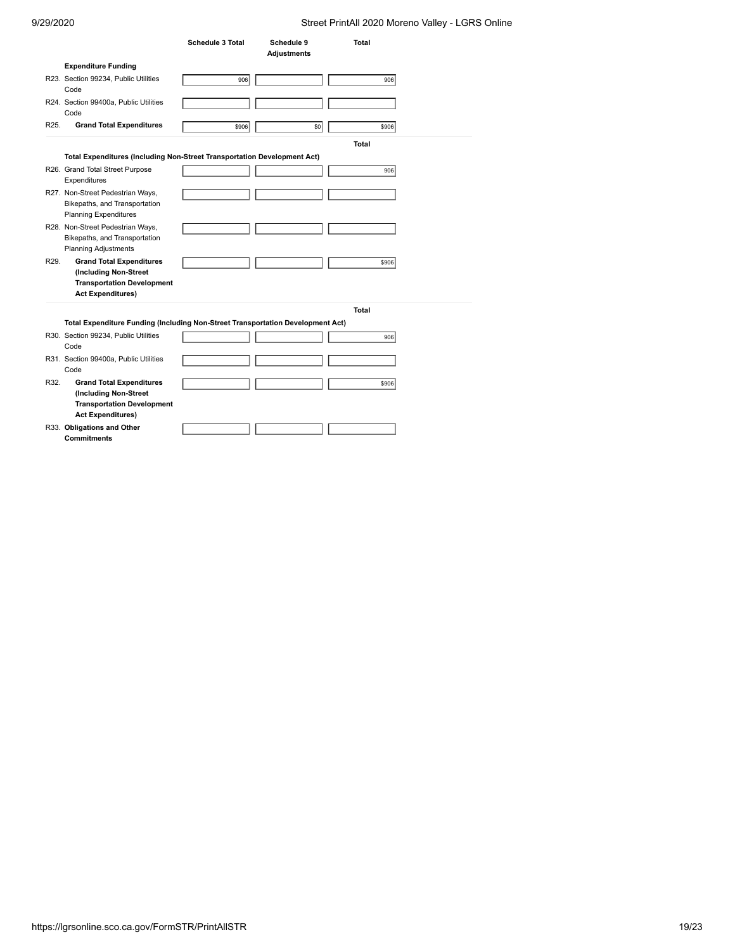| 9/29/2020         |                                                                                                                           |                         |                           | Street PrintAll 2020 Moreno Valley - LGRS Online |  |
|-------------------|---------------------------------------------------------------------------------------------------------------------------|-------------------------|---------------------------|--------------------------------------------------|--|
|                   |                                                                                                                           | <b>Schedule 3 Total</b> | Schedule 9<br>Adjustments | <b>Total</b>                                     |  |
|                   | <b>Expenditure Funding</b>                                                                                                |                         |                           |                                                  |  |
|                   | R23. Section 99234, Public Utilities<br>Code                                                                              | 906                     |                           | 906                                              |  |
|                   | R24. Section 99400a, Public Utilities<br>Code                                                                             |                         |                           |                                                  |  |
| R25.              | <b>Grand Total Expenditures</b>                                                                                           | \$906                   | \$0                       | \$906                                            |  |
|                   |                                                                                                                           |                         |                           | <b>Total</b>                                     |  |
|                   | Total Expenditures (Including Non-Street Transportation Development Act)                                                  |                         |                           |                                                  |  |
|                   | R26. Grand Total Street Purpose<br>Expenditures                                                                           |                         |                           | 906                                              |  |
|                   | R27. Non-Street Pedestrian Ways,<br>Bikepaths, and Transportation<br><b>Planning Expenditures</b>                         |                         |                           |                                                  |  |
|                   | R28. Non-Street Pedestrian Ways,<br>Bikepaths, and Transportation<br><b>Planning Adjustments</b>                          |                         |                           |                                                  |  |
| R <sub>29</sub> . | <b>Grand Total Expenditures</b><br>(Including Non-Street<br><b>Transportation Development</b><br><b>Act Expenditures)</b> |                         |                           | \$906                                            |  |
|                   |                                                                                                                           |                         |                           | <b>Total</b>                                     |  |
|                   | Total Expenditure Funding (Including Non-Street Transportation Development Act)                                           |                         |                           |                                                  |  |
|                   | R30. Section 99234, Public Utilities<br>Code                                                                              |                         |                           | 906                                              |  |
|                   | R31. Section 99400a, Public Utilities<br>Code                                                                             |                         |                           |                                                  |  |
| R32.              | <b>Grand Total Expenditures</b><br>(Including Non-Street<br><b>Transportation Development</b><br><b>Act Expenditures)</b> |                         |                           | \$906                                            |  |
|                   | R33. Obligations and Other<br>Commitments                                                                                 |                         |                           |                                                  |  |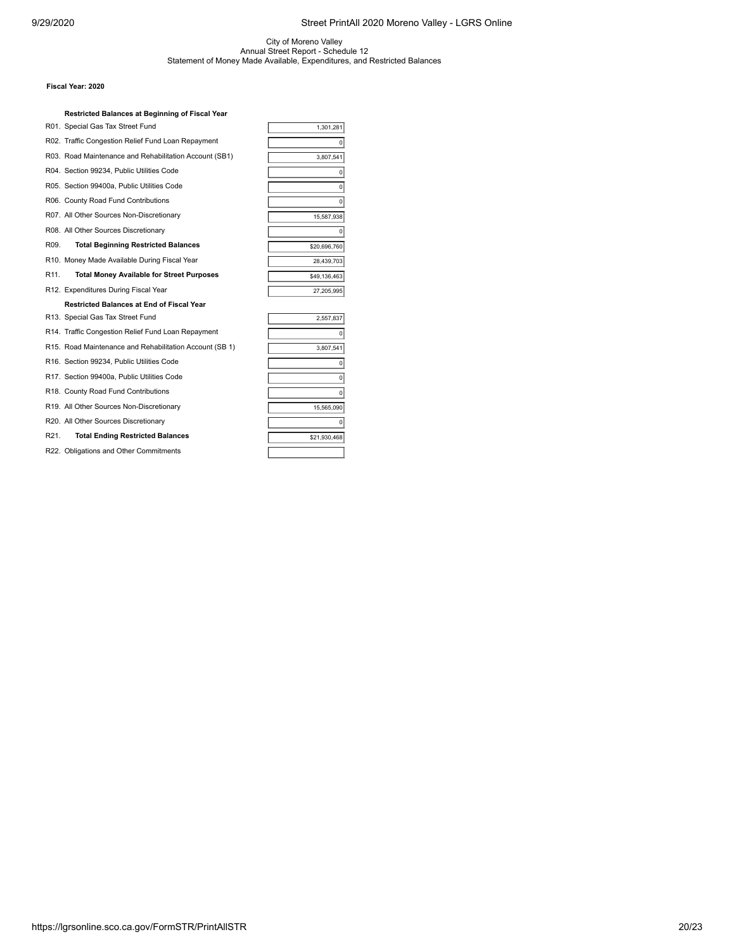## City of Moreno Valley Annual Street Report - Schedule 12 Statement of Money Made Available, Expenditures, and Restricted Balances

#### **Fiscal Year: 2020**

|                   | Restricted Balances at Beginning of Fiscal Year         |                |
|-------------------|---------------------------------------------------------|----------------|
|                   | R01. Special Gas Tax Street Fund                        | 1,301,281      |
|                   | R02. Traffic Congestion Relief Fund Loan Repayment      | 0              |
|                   | R03. Road Maintenance and Rehabilitation Account (SB1)  | 3,807,541      |
|                   | R04. Section 99234, Public Utilities Code               | 0              |
|                   | R05. Section 99400a, Public Utilities Code              | $\Omega$       |
|                   | R06. County Road Fund Contributions                     | $\overline{0}$ |
|                   | R07. All Other Sources Non-Discretionary                | 15,587,938     |
|                   | R08. All Other Sources Discretionary                    | 0              |
| R09.              | <b>Total Beginning Restricted Balances</b>              | \$20,696,760   |
|                   | R10. Money Made Available During Fiscal Year            | 28,439,703     |
| R <sub>11</sub> . | <b>Total Money Available for Street Purposes</b>        | \$49,136,463   |
|                   | R12. Expenditures During Fiscal Year                    | 27,205,995     |
|                   | Restricted Balances at End of Fiscal Year               |                |
|                   | R13. Special Gas Tax Street Fund                        | 2,557,837      |
|                   | R14. Traffic Congestion Relief Fund Loan Repayment      | 0              |
|                   | R15. Road Maintenance and Rehabilitation Account (SB 1) | 3,807,541      |
|                   | R16. Section 99234, Public Utilities Code               | 0              |
|                   | R17. Section 99400a, Public Utilities Code              | $\Omega$       |
|                   | R18. County Road Fund Contributions                     | 0              |
|                   | R19. All Other Sources Non-Discretionary                | 15,565,090     |
|                   | R20. All Other Sources Discretionary                    | $\Omega$       |
| R <sub>21</sub> . | <b>Total Ending Restricted Balances</b>                 | \$21,930,468   |

R22. Obligations and Other Commitments

| 27,205,995   |
|--------------|
|              |
| 2,557,837    |
| 0            |
| 3,807,541    |
| 0            |
| 0            |
| 0            |
| 15,565,090   |
| O            |
| \$21,930,468 |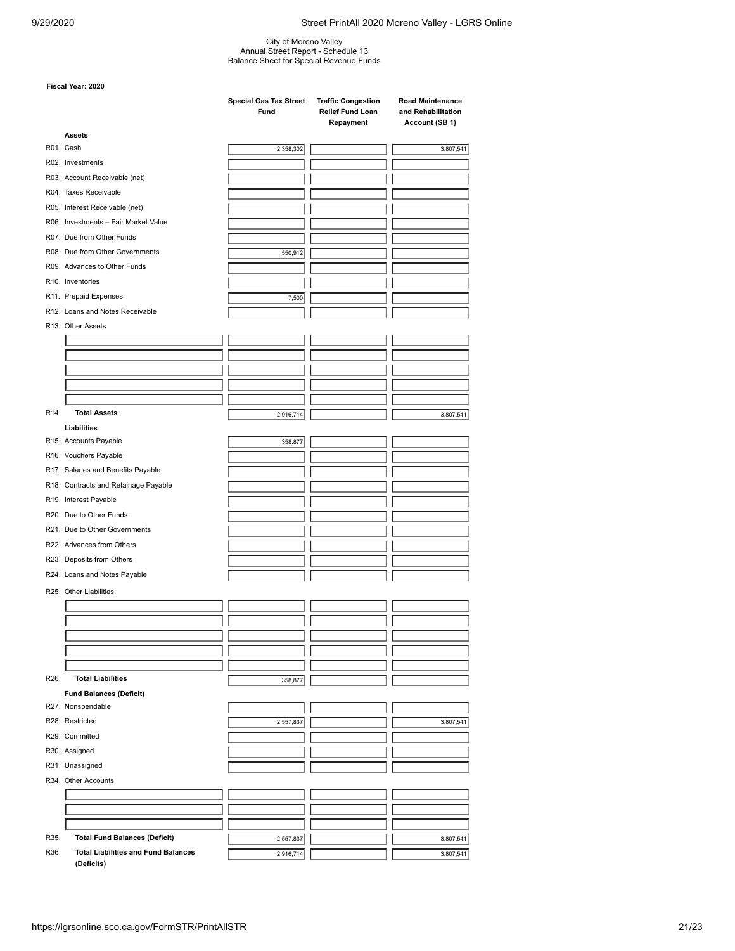City of Moreno Valley Annual Street Report - Schedule 13 Balance Sheet for Special Revenue Funds

|      |                                            | <b>Special Gas Tax Street</b><br>Fund | <b>Traffic Congestion</b><br>Relief Fund Loan<br>Repayment | <b>Road Maintenance</b><br>and Rehabilitation<br>Account (SB 1) |  |  |
|------|--------------------------------------------|---------------------------------------|------------------------------------------------------------|-----------------------------------------------------------------|--|--|
|      | <b>Assets</b>                              |                                       |                                                            |                                                                 |  |  |
|      | R01. Cash                                  | 2,358,302                             |                                                            | 3,807,541                                                       |  |  |
|      | R02. Investments                           |                                       |                                                            |                                                                 |  |  |
|      | R03. Account Receivable (net)              |                                       |                                                            |                                                                 |  |  |
|      | R04. Taxes Receivable                      |                                       |                                                            |                                                                 |  |  |
|      | R05. Interest Receivable (net)             |                                       |                                                            |                                                                 |  |  |
|      | R06. Investments - Fair Market Value       |                                       |                                                            |                                                                 |  |  |
|      | R07. Due from Other Funds                  |                                       |                                                            |                                                                 |  |  |
|      | R08. Due from Other Governments            | 550,912                               |                                                            |                                                                 |  |  |
|      | R09. Advances to Other Funds               |                                       |                                                            |                                                                 |  |  |
|      | R10. Inventories                           |                                       |                                                            |                                                                 |  |  |
|      | R11. Prepaid Expenses                      | 7,500                                 |                                                            |                                                                 |  |  |
|      | R12. Loans and Notes Receivable            |                                       |                                                            |                                                                 |  |  |
|      | R13. Other Assets                          |                                       |                                                            |                                                                 |  |  |
|      |                                            |                                       |                                                            |                                                                 |  |  |
|      |                                            |                                       |                                                            |                                                                 |  |  |
|      |                                            |                                       |                                                            |                                                                 |  |  |
|      |                                            |                                       |                                                            |                                                                 |  |  |
|      |                                            |                                       |                                                            |                                                                 |  |  |
| R14. | <b>Total Assets</b>                        | 2,916,714                             |                                                            | 3,807,541                                                       |  |  |
|      | Liabilities                                |                                       |                                                            |                                                                 |  |  |
|      | R15. Accounts Payable                      | 358,877                               |                                                            |                                                                 |  |  |
|      | R16. Vouchers Payable                      |                                       |                                                            |                                                                 |  |  |
|      | R17. Salaries and Benefits Payable         |                                       |                                                            |                                                                 |  |  |
|      | R18. Contracts and Retainage Payable       |                                       |                                                            |                                                                 |  |  |
|      |                                            |                                       |                                                            |                                                                 |  |  |
|      | R19. Interest Payable                      |                                       |                                                            |                                                                 |  |  |
|      | R20. Due to Other Funds                    |                                       |                                                            |                                                                 |  |  |
|      | R21. Due to Other Governments              |                                       |                                                            |                                                                 |  |  |
|      | R22. Advances from Others                  |                                       |                                                            |                                                                 |  |  |
|      | R23. Deposits from Others                  |                                       |                                                            |                                                                 |  |  |
|      | R24. Loans and Notes Payable               |                                       |                                                            |                                                                 |  |  |
|      | R25. Other Liabilities:                    |                                       |                                                            |                                                                 |  |  |
|      |                                            |                                       |                                                            |                                                                 |  |  |
|      |                                            |                                       |                                                            |                                                                 |  |  |
|      |                                            |                                       |                                                            |                                                                 |  |  |
|      |                                            |                                       |                                                            |                                                                 |  |  |
|      |                                            |                                       |                                                            |                                                                 |  |  |
| R26. | <b>Total Liabilities</b>                   | 358,877                               |                                                            |                                                                 |  |  |
|      | <b>Fund Balances (Deficit)</b>             |                                       |                                                            |                                                                 |  |  |
|      | R27. Nonspendable                          |                                       |                                                            |                                                                 |  |  |
|      | R28. Restricted                            | 2,557,837                             |                                                            | 3,807,541                                                       |  |  |
|      | R29. Committed                             |                                       |                                                            |                                                                 |  |  |
|      | R30. Assigned                              |                                       |                                                            |                                                                 |  |  |
|      | R31. Unassigned                            |                                       |                                                            |                                                                 |  |  |
|      | R34. Other Accounts                        |                                       |                                                            |                                                                 |  |  |
|      |                                            |                                       |                                                            |                                                                 |  |  |
|      |                                            |                                       |                                                            |                                                                 |  |  |
|      |                                            |                                       |                                                            |                                                                 |  |  |
| R35. | <b>Total Fund Balances (Deficit)</b>       |                                       |                                                            | 3,807,541                                                       |  |  |
| R36. | <b>Total Liabilities and Fund Balances</b> | 2,557,837<br>2,916,714                |                                                            | 3,807,541                                                       |  |  |
|      | (Deficits)                                 |                                       |                                                            |                                                                 |  |  |